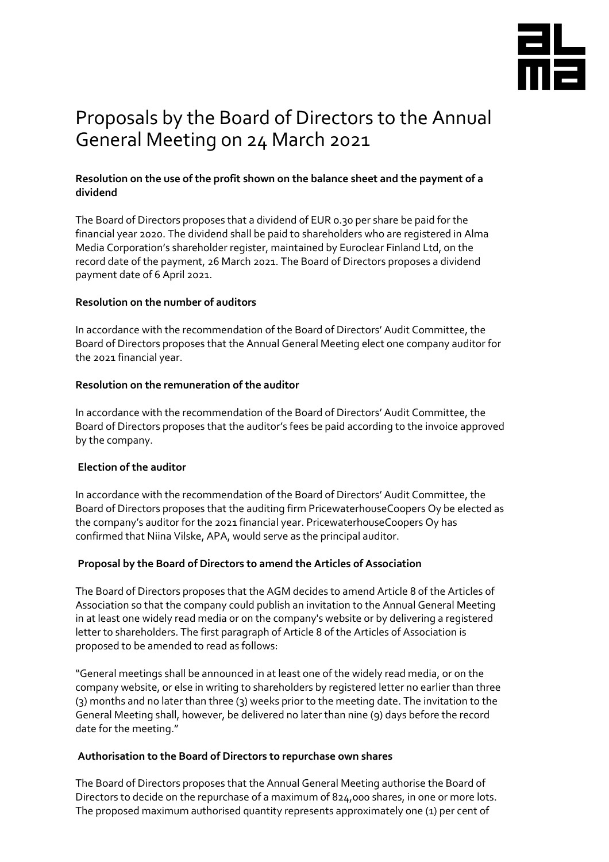

# Proposals by the Board of Directors to the Annual General Meeting on 24 March 2021

# **Resolution on the use of the profit shown on the balance sheet and the payment of a dividend**

The Board of Directors proposes that a dividend of EUR 0.30 per share be paid for the financial year 2020. The dividend shall be paid to shareholders who are registered in Alma Media Corporation's shareholder register, maintained by Euroclear Finland Ltd, on the record date of the payment, 26 March 2021. The Board of Directors proposes a dividend payment date of 6 April 2021.

## **Resolution on the number of auditors**

In accordance with the recommendation of the Board of Directors' Audit Committee, the Board of Directors proposes that the Annual General Meeting elect one company auditor for the 2021 financial year.

### **Resolution on the remuneration of the auditor**

In accordance with the recommendation of the Board of Directors' Audit Committee, the Board of Directors proposes that the auditor's fees be paid according to the invoice approved by the company.

# **Election of the auditor**

In accordance with the recommendation of the Board of Directors' Audit Committee, the Board of Directors proposes that the auditing firm PricewaterhouseCoopers Oy be elected as the company's auditor for the 2021 financial year. PricewaterhouseCoopers Oy has confirmed that Niina Vilske, APA, would serve as the principal auditor.

# **Proposal by the Board of Directors to amend the Articles of Association**

The Board of Directors proposes that the AGM decides to amend Article 8 of the Articles of Association so that the company could publish an invitation to the Annual General Meeting in at least one widely read media or on the company's website or by delivering a registered letter to shareholders. The first paragraph of Article 8 of the Articles of Association is proposed to be amended to read as follows:

"General meetings shall be announced in at least one of the widely read media, or on the company website, or else in writing to shareholders by registered letter no earlier than three (3) months and no later than three (3) weeks prior to the meeting date. The invitation to the General Meeting shall, however, be delivered no later than nine (9) days before the record date for the meeting."

### **Authorisation to the Board of Directors to repurchase own shares**

The Board of Directors proposes that the Annual General Meeting authorise the Board of Directors to decide on the repurchase of a maximum of 824,000 shares, in one or more lots. The proposed maximum authorised quantity represents approximately one (1) per cent of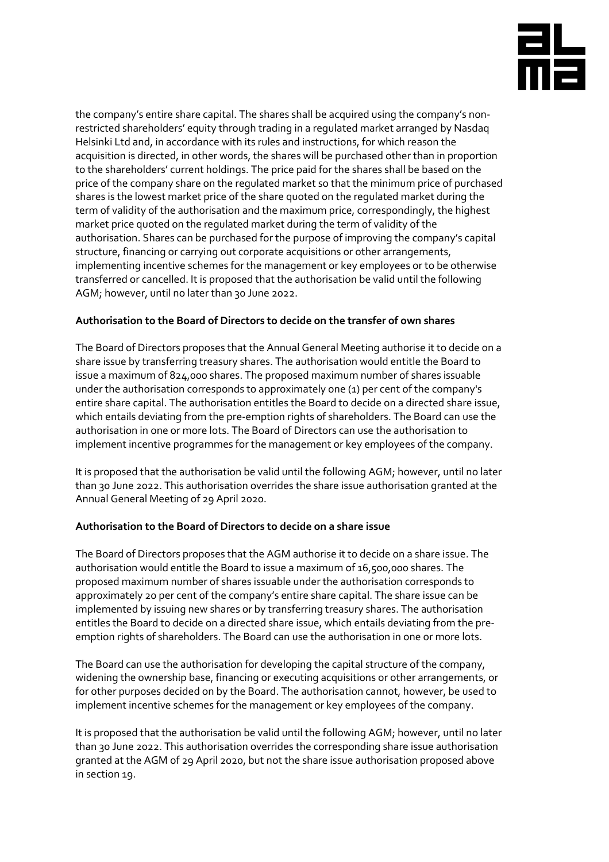

the company's entire share capital. The shares shall be acquired using the company's nonrestricted shareholders' equity through trading in a regulated market arranged by Nasdaq Helsinki Ltd and, in accordance with its rules and instructions, for which reason the acquisition is directed, in other words, the shares will be purchased other than in proportion to the shareholders' current holdings. The price paid for the shares shall be based on the price of the company share on the regulated market so that the minimum price of purchased shares is the lowest market price of the share quoted on the regulated market during the term of validity of the authorisation and the maximum price, correspondingly, the highest market price quoted on the regulated market during the term of validity of the authorisation. Shares can be purchased for the purpose of improving the company's capital structure, financing or carrying out corporate acquisitions or other arrangements, implementing incentive schemes for the management or key employees or to be otherwise transferred or cancelled. It is proposed that the authorisation be valid until the following AGM; however, until no later than 30 June 2022.

## **Authorisation to the Board of Directors to decide on the transfer of own shares**

The Board of Directors proposes that the Annual General Meeting authorise it to decide on a share issue by transferring treasury shares. The authorisation would entitle the Board to issue a maximum of 824,000 shares. The proposed maximum number of shares issuable under the authorisation corresponds to approximately one (1) per cent of the company's entire share capital. The authorisation entitles the Board to decide on a directed share issue, which entails deviating from the pre-emption rights of shareholders. The Board can use the authorisation in one or more lots. The Board of Directors can use the authorisation to implement incentive programmes for the management or key employees of the company.

It is proposed that the authorisation be valid until the following AGM; however, until no later than 30 June 2022. This authorisation overrides the share issue authorisation granted at the Annual General Meeting of 29 April 2020.

### **Authorisation to the Board of Directors to decide on a share issue**

The Board of Directors proposes that the AGM authorise it to decide on a share issue. The authorisation would entitle the Board to issue a maximum of 16,500,000 shares. The proposed maximum number of shares issuable under the authorisation corresponds to approximately 20 per cent of the company's entire share capital. The share issue can be implemented by issuing new shares or by transferring treasury shares. The authorisation entitles the Board to decide on a directed share issue, which entails deviating from the preemption rights of shareholders. The Board can use the authorisation in one or more lots.

The Board can use the authorisation for developing the capital structure of the company, widening the ownership base, financing or executing acquisitions or other arrangements, or for other purposes decided on by the Board. The authorisation cannot, however, be used to implement incentive schemes for the management or key employees of the company.

It is proposed that the authorisation be valid until the following AGM; however, until no later than 30 June 2022. This authorisation overrides the corresponding share issue authorisation granted at the AGM of 29 April 2020, but not the share issue authorisation proposed above in section 19.